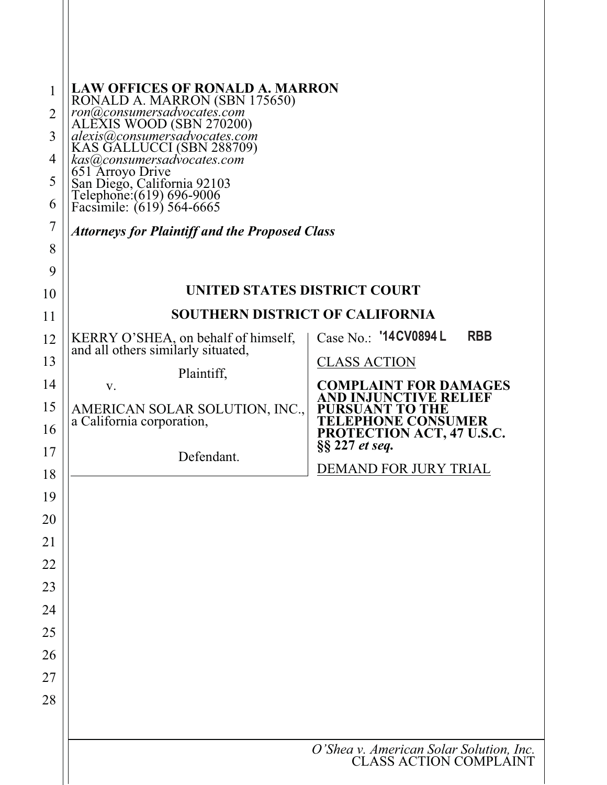| $\mathbf{1}$<br>2<br>3<br>4<br>5<br>6<br>$\overline{7}$                                            | <b>LAW OFFICES OF RONALD A. MARRON</b><br>RONALD A. MARRON (SBN 175650)<br>ron@consumersadvocates.com<br>ALEXIS WOOD (SBN 270200)<br>alexis@consumersadvocates.com<br>KAS GALLUCCI (SBN 288709)<br>kas(a)consumersadvocates.com<br>651 Arroyo Drive<br>San Diego, California 92103<br>Telephone: (619) 696-9006<br>Facsimile: (619) 564-6665<br><b>Attorneys for Plaintiff and the Proposed Class</b> |                                                                                                                                                                                                                                       |  |  |  |  |  |
|----------------------------------------------------------------------------------------------------|-------------------------------------------------------------------------------------------------------------------------------------------------------------------------------------------------------------------------------------------------------------------------------------------------------------------------------------------------------------------------------------------------------|---------------------------------------------------------------------------------------------------------------------------------------------------------------------------------------------------------------------------------------|--|--|--|--|--|
| 8<br>9                                                                                             |                                                                                                                                                                                                                                                                                                                                                                                                       |                                                                                                                                                                                                                                       |  |  |  |  |  |
| 10                                                                                                 | UNITED STATES DISTRICT COURT                                                                                                                                                                                                                                                                                                                                                                          |                                                                                                                                                                                                                                       |  |  |  |  |  |
| 11                                                                                                 | <b>SOUTHERN DISTRICT OF CALIFORNIA</b>                                                                                                                                                                                                                                                                                                                                                                |                                                                                                                                                                                                                                       |  |  |  |  |  |
| 12<br>13<br>14<br>15<br>16<br>17<br>18<br>19<br>20<br>21<br>22<br>23<br>24<br>25<br>26<br>27<br>28 | KERRY O'SHEA, on behalf of himself,<br>and all others similarly situated,<br>Plaintiff,<br>V.<br>AMERICAN SOLAR SOLUTION, INC.,<br>a California corporation,<br>Defendant.                                                                                                                                                                                                                            | Case No.: '14CV0894 L<br><b>RBB</b><br><b>CLASS ACTION</b><br><b>COMPLAINT FOR DAMAGES</b><br>D INJUNCTIVE RELIEF<br>'O THE<br><b>LEPHONE CONSUMER</b><br>PROTECTION ACT, 47 U.S.C.<br>§§ 227 et seq.<br><b>DEMAND FOR JURY TRIAL</b> |  |  |  |  |  |
|                                                                                                    | O'Shea v. American Solar Solution, Inc.<br>CLASS ACTION COMPLAINT                                                                                                                                                                                                                                                                                                                                     |                                                                                                                                                                                                                                       |  |  |  |  |  |
|                                                                                                    |                                                                                                                                                                                                                                                                                                                                                                                                       |                                                                                                                                                                                                                                       |  |  |  |  |  |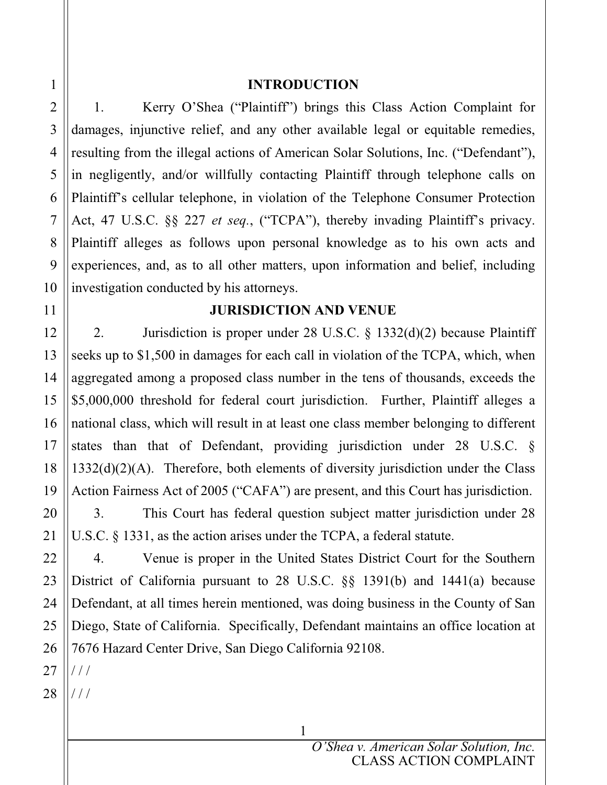#### **INTRODUCTION**

1. Kerry O'Shea ("Plaintiff") brings this Class Action Complaint for damages, injunctive relief, and any other available legal or equitable remedies, resulting from the illegal actions of American Solar Solutions, Inc. ("Defendant"), in negligently, and/or willfully contacting Plaintiff through telephone calls on Plaintiff's cellular telephone, in violation of the Telephone Consumer Protection Act, 47 U.S.C. §§ 227 *et seq.*, ("TCPA"), thereby invading Plaintiff's privacy. Plaintiff alleges as follows upon personal knowledge as to his own acts and experiences, and, as to all other matters, upon information and belief, including investigation conducted by his attorneys.

## **JURISDICTION AND VENUE**

2. Jurisdiction is proper under 28 U.S.C. § 1332(d)(2) because Plaintiff seeks up to \$1,500 in damages for each call in violation of the TCPA, which, when aggregated among a proposed class number in the tens of thousands, exceeds the \$5,000,000 threshold for federal court jurisdiction. Further, Plaintiff alleges a national class, which will result in at least one class member belonging to different states than that of Defendant, providing jurisdiction under 28 U.S.C. §  $1332(d)(2)(A)$ . Therefore, both elements of diversity jurisdiction under the Class Action Fairness Act of 2005 ("CAFA") are present, and this Court has jurisdiction.

3. This Court has federal question subject matter jurisdiction under 28 U.S.C. § 1331, as the action arises under the TCPA, a federal statute.

4. Venue is proper in the United States District Court for the Southern District of California pursuant to 28 U.S.C. §§ 1391(b) and 1441(a) because Defendant, at all times herein mentioned, was doing business in the County of San Diego, State of California. Specifically, Defendant maintains an office location at 7676 Hazard Center Drive, San Diego California 92108.

1

27 / / /

28 / / /

1

2

3

4

5

6

7

8

9

10

11

12

13

14

15

16

17

18

19

20

21

22

23

24

25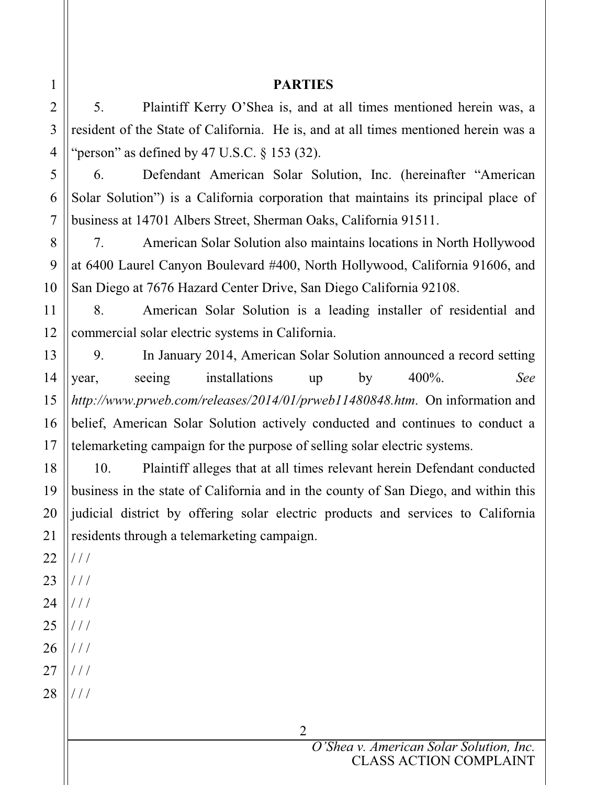## **PARTIES**

5. Plaintiff Kerry O'Shea is, and at all times mentioned herein was, a resident of the State of California. He is, and at all times mentioned herein was a "person" as defined by 47 U.S.C.  $\S$  153 (32).

6. Defendant American Solar Solution, Inc. (hereinafter "American Solar Solution") is a California corporation that maintains its principal place of business at 14701 Albers Street, Sherman Oaks, California 91511.

7. American Solar Solution also maintains locations in North Hollywood at 6400 Laurel Canyon Boulevard #400, North Hollywood, California 91606, and San Diego at 7676 Hazard Center Drive, San Diego California 92108.

8. American Solar Solution is a leading installer of residential and commercial solar electric systems in California.

9. In January 2014, American Solar Solution announced a record setting year, seeing installations up by 400%. *See http://www.prweb.com/releases/2014/01/prweb11480848.htm*. On information and belief, American Solar Solution actively conducted and continues to conduct a telemarketing campaign for the purpose of selling solar electric systems.

10. Plaintiff alleges that at all times relevant herein Defendant conducted business in the state of California and in the county of San Diego, and within this judicial district by offering solar electric products and services to California residents through a telemarketing campaign.

2

22 / / /

1

2

3

4

5

6

7

8

9

10

11

12

13

14

15

16

17

18

19

20

- 23  $/ /$
- 24 25 / / /
- 26 / / / / / /
- 27 / / /
- 28 / / /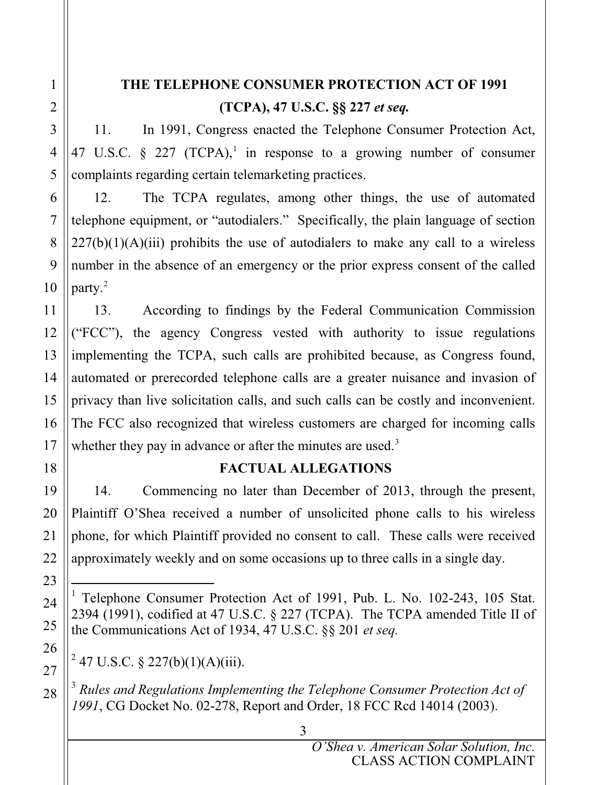# **THE TELEPHONE CONSUMER PROTECTION ACT OF 1991 (TCPA), 47 U.S.C. §§ 227** *et seq.*

11. In 1991, Congress enacted the Telephone Consumer Protection Act, 47 U.S.C.  $\S$  227 (TCPA),<sup>1</sup> in response to a growing number of consumer complaints regarding certain telemarketing practices.

12. The TCPA regulates, among other things, the use of automated telephone equipment, or "autodialers." Specifically, the plain language of section  $227(b)(1)(A)(iii)$  prohibits the use of autodialers to make any call to a wireless number in the absence of an emergency or the prior express consent of the called party.2

13. According to findings by the Federal Communication Commission ("FCC"), the agency Congress vested with authority to issue regulations implementing the TCPA, such calls are prohibited because, as Congress found, automated or prerecorded telephone calls are a greater nuisance and invasion of privacy than live solicitation calls, and such calls can be costly and inconvenient. The FCC also recognized that wireless customers are charged for incoming calls whether they pay in advance or after the minutes are used.<sup>3</sup>

## **FACTUAL ALLEGATIONS**

14. Commencing no later than December of 2013, through the present, Plaintiff O'Shea received a number of unsolicited phone calls to his wireless phone, for which Plaintiff provided no consent to call. These calls were received approximately weekly and on some occasions up to three calls in a single day.

 $^{2}$  47 U.S.C. § 227(b)(1)(A)(iii).

<sup>3</sup> *Rules and Regulations Implementing the Telephone Consumer Protection Act of 1991*, CG Docket No. 02-278, Report and Order, 18 FCC Rcd 14014 (2003).

<sup>&</sup>lt;sup>1</sup> Telephone Consumer Protection Act of 1991, Pub. L. No. 102-243, 105 Stat. 2394 (1991), codified at 47 U.S.C. § 227 (TCPA). The TCPA amended Title II of the Communications Act of 1934, 47 U.S.C. §§ 201 *et seq.*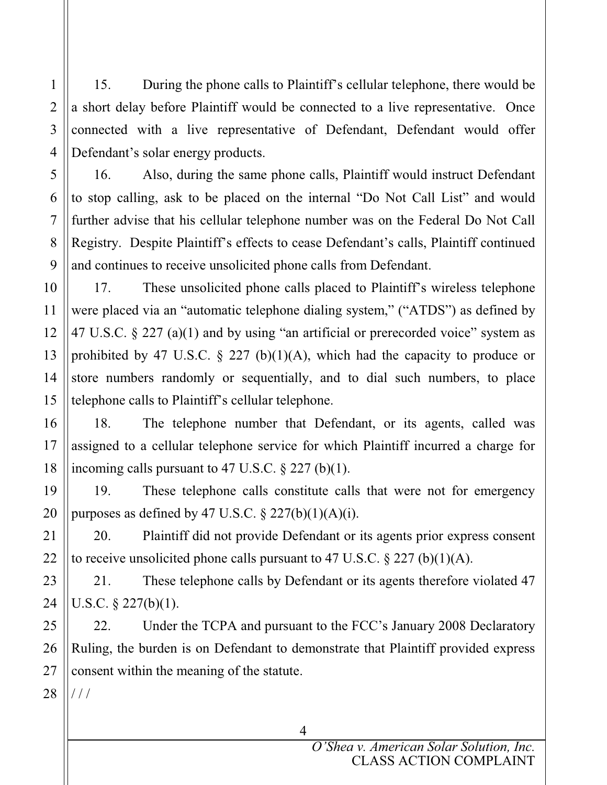15. During the phone calls to Plaintiff's cellular telephone, there would be a short delay before Plaintiff would be connected to a live representative. Once connected with a live representative of Defendant, Defendant would offer Defendant's solar energy products.

16. Also, during the same phone calls, Plaintiff would instruct Defendant to stop calling, ask to be placed on the internal "Do Not Call List" and would further advise that his cellular telephone number was on the Federal Do Not Call Registry. Despite Plaintiff's effects to cease Defendant's calls, Plaintiff continued and continues to receive unsolicited phone calls from Defendant.

17. These unsolicited phone calls placed to Plaintiff's wireless telephone were placed via an "automatic telephone dialing system," ("ATDS") as defined by 47 U.S.C. § 227 (a)(1) and by using "an artificial or prerecorded voice" system as prohibited by 47 U.S.C.  $\S$  227 (b)(1)(A), which had the capacity to produce or store numbers randomly or sequentially, and to dial such numbers, to place telephone calls to Plaintiff's cellular telephone.

18. The telephone number that Defendant, or its agents, called was assigned to a cellular telephone service for which Plaintiff incurred a charge for incoming calls pursuant to 47 U.S.C.  $\S 227$  (b)(1).

19. These telephone calls constitute calls that were not for emergency purposes as defined by 47 U.S.C.  $\S 227(b)(1)(A)(i)$ .

20. Plaintiff did not provide Defendant or its agents prior express consent to receive unsolicited phone calls pursuant to 47 U.S.C.  $\S 227$  (b)(1)(A).

21. These telephone calls by Defendant or its agents therefore violated 47 U.S.C. § 227(b)(1).

22. Under the TCPA and pursuant to the FCC's January 2008 Declaratory Ruling, the burden is on Defendant to demonstrate that Plaintiff provided express consent within the meaning of the statute.

28 / / /

1

2

3

4

5

6

7

8

9

10

11

12

13

14

15

16

17

18

19

20

21

22

23

24

25

26

27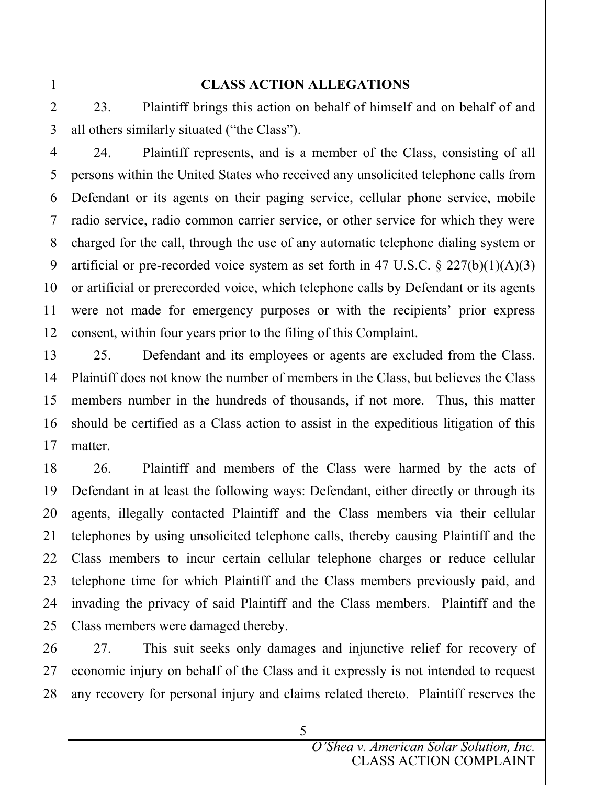## **CLASS ACTION ALLEGATIONS**

23. Plaintiff brings this action on behalf of himself and on behalf of and all others similarly situated ("the Class").

24. Plaintiff represents, and is a member of the Class, consisting of all persons within the United States who received any unsolicited telephone calls from Defendant or its agents on their paging service, cellular phone service, mobile radio service, radio common carrier service, or other service for which they were charged for the call, through the use of any automatic telephone dialing system or artificial or pre-recorded voice system as set forth in 47 U.S.C.  $\S 227(b)(1)(A)(3)$ or artificial or prerecorded voice, which telephone calls by Defendant or its agents were not made for emergency purposes or with the recipients' prior express consent, within four years prior to the filing of this Complaint.

25. Defendant and its employees or agents are excluded from the Class. Plaintiff does not know the number of members in the Class, but believes the Class members number in the hundreds of thousands, if not more. Thus, this matter should be certified as a Class action to assist in the expeditious litigation of this matter.

26. Plaintiff and members of the Class were harmed by the acts of Defendant in at least the following ways: Defendant, either directly or through its agents, illegally contacted Plaintiff and the Class members via their cellular telephones by using unsolicited telephone calls, thereby causing Plaintiff and the Class members to incur certain cellular telephone charges or reduce cellular telephone time for which Plaintiff and the Class members previously paid, and invading the privacy of said Plaintiff and the Class members. Plaintiff and the Class members were damaged thereby.

27. This suit seeks only damages and injunctive relief for recovery of economic injury on behalf of the Class and it expressly is not intended to request any recovery for personal injury and claims related thereto. Plaintiff reserves the

1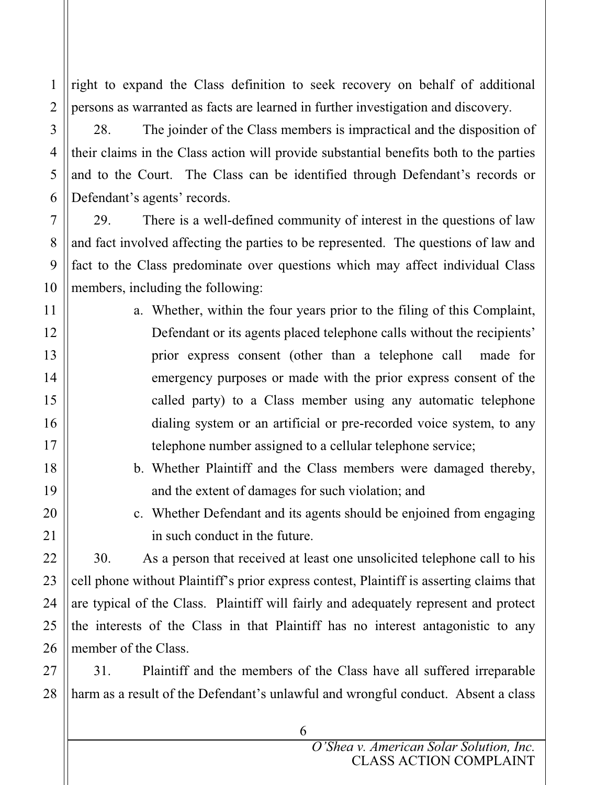right to expand the Class definition to seek recovery on behalf of additional persons as warranted as facts are learned in further investigation and discovery.

28. The joinder of the Class members is impractical and the disposition of their claims in the Class action will provide substantial benefits both to the parties and to the Court. The Class can be identified through Defendant's records or Defendant's agents' records.

29. There is a well-defined community of interest in the questions of law and fact involved affecting the parties to be represented. The questions of law and fact to the Class predominate over questions which may affect individual Class members, including the following:

a. Whether, within the four years prior to the filing of this Complaint, Defendant or its agents placed telephone calls without the recipients' prior express consent (other than a telephone call made for emergency purposes or made with the prior express consent of the called party) to a Class member using any automatic telephone dialing system or an artificial or pre-recorded voice system, to any telephone number assigned to a cellular telephone service;

- b. Whether Plaintiff and the Class members were damaged thereby, and the extent of damages for such violation; and
- c. Whether Defendant and its agents should be enjoined from engaging in such conduct in the future.

30. As a person that received at least one unsolicited telephone call to his cell phone without Plaintiff's prior express contest, Plaintiff is asserting claims that are typical of the Class. Plaintiff will fairly and adequately represent and protect the interests of the Class in that Plaintiff has no interest antagonistic to any member of the Class.

31. Plaintiff and the members of the Class have all suffered irreparable harm as a result of the Defendant's unlawful and wrongful conduct. Absent a class

6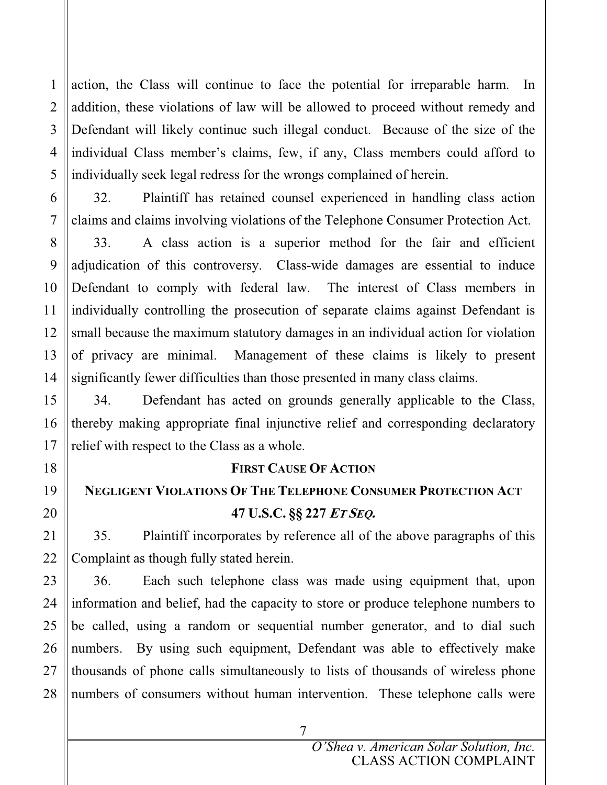action, the Class will continue to face the potential for irreparable harm. In addition, these violations of law will be allowed to proceed without remedy and Defendant will likely continue such illegal conduct. Because of the size of the individual Class member's claims, few, if any, Class members could afford to individually seek legal redress for the wrongs complained of herein.

32. Plaintiff has retained counsel experienced in handling class action claims and claims involving violations of the Telephone Consumer Protection Act.

33. A class action is a superior method for the fair and efficient adjudication of this controversy. Class-wide damages are essential to induce Defendant to comply with federal law. The interest of Class members in individually controlling the prosecution of separate claims against Defendant is small because the maximum statutory damages in an individual action for violation of privacy are minimal. Management of these claims is likely to present significantly fewer difficulties than those presented in many class claims.

34. Defendant has acted on grounds generally applicable to the Class, thereby making appropriate final injunctive relief and corresponding declaratory relief with respect to the Class as a whole.

## **FIRST CAUSE OF ACTION**

## **NEGLIGENT VIOLATIONS OF THE TELEPHONE CONSUMER PROTECTION ACT 47 U.S.C. §§ 227 ET SEQ.**

35. Plaintiff incorporates by reference all of the above paragraphs of this Complaint as though fully stated herein.

36. Each such telephone class was made using equipment that, upon information and belief, had the capacity to store or produce telephone numbers to be called, using a random or sequential number generator, and to dial such numbers. By using such equipment, Defendant was able to effectively make thousands of phone calls simultaneously to lists of thousands of wireless phone numbers of consumers without human intervention. These telephone calls were

7

1

2

3

4

5

6

7

8

9

10

11

12

13

14

15

16

17

18

19

20

21

22

23

24

25

26

27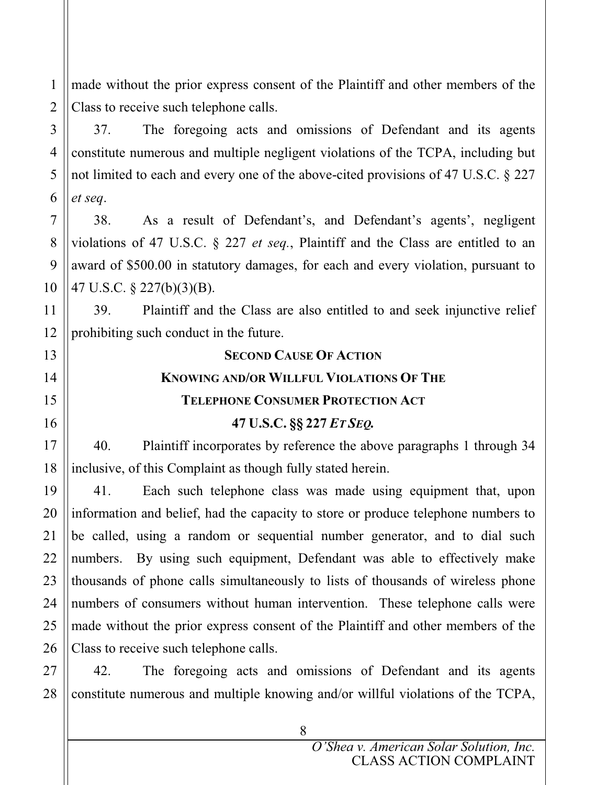made without the prior express consent of the Plaintiff and other members of the Class to receive such telephone calls.

1

2

3

4

5

6

7

8

9

10

11

12

13

14

15

16

17

18

19

21

22

23

24

25

37. The foregoing acts and omissions of Defendant and its agents constitute numerous and multiple negligent violations of the TCPA, including but not limited to each and every one of the above-cited provisions of 47 U.S.C. § 227 *et seq*.

38. As a result of Defendant's, and Defendant's agents', negligent violations of 47 U.S.C. § 227 *et seq.*, Plaintiff and the Class are entitled to an award of \$500.00 in statutory damages, for each and every violation, pursuant to 47 U.S.C. § 227(b)(3)(B).

39. Plaintiff and the Class are also entitled to and seek injunctive relief prohibiting such conduct in the future.

#### **SECOND CAUSE OF ACTION**

#### **KNOWING AND/OR WILLFUL VIOLATIONS OF THE**

#### **TELEPHONE CONSUMER PROTECTION ACT**

## **47 U.S.C. §§ 227** *ET SEQ.*

40. Plaintiff incorporates by reference the above paragraphs 1 through 34 inclusive, of this Complaint as though fully stated herein.

20 26 41. Each such telephone class was made using equipment that, upon information and belief, had the capacity to store or produce telephone numbers to be called, using a random or sequential number generator, and to dial such numbers. By using such equipment, Defendant was able to effectively make thousands of phone calls simultaneously to lists of thousands of wireless phone numbers of consumers without human intervention. These telephone calls were made without the prior express consent of the Plaintiff and other members of the Class to receive such telephone calls.

27 28 42. The foregoing acts and omissions of Defendant and its agents constitute numerous and multiple knowing and/or willful violations of the TCPA,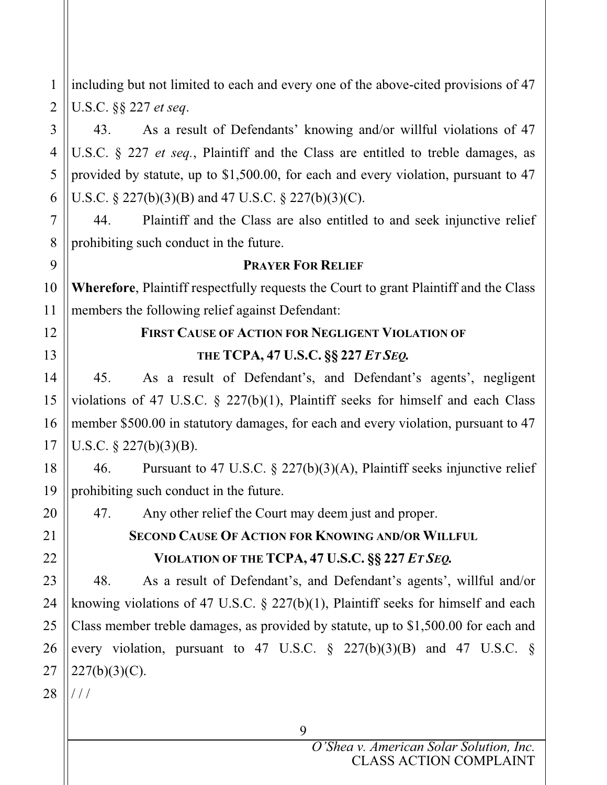including but not limited to each and every one of the above-cited provisions of 47 U.S.C. §§ 227 *et seq*.

43. As a result of Defendants' knowing and/or willful violations of 47 U.S.C. § 227 *et seq.*, Plaintiff and the Class are entitled to treble damages, as provided by statute, up to \$1,500.00, for each and every violation, pursuant to 47 U.S.C. § 227(b)(3)(B) and 47 U.S.C. § 227(b)(3)(C).

44. Plaintiff and the Class are also entitled to and seek injunctive relief prohibiting such conduct in the future.

#### **PRAYER FOR RELIEF**

**Wherefore**, Plaintiff respectfully requests the Court to grant Plaintiff and the Class members the following relief against Defendant:

## **FIRST CAUSE OF ACTION FOR NEGLIGENT VIOLATION OF THE TCPA, 47 U.S.C. §§ 227** *ET SEQ.*

45. As a result of Defendant's, and Defendant's agents', negligent violations of 47 U.S.C. § 227(b)(1), Plaintiff seeks for himself and each Class member \$500.00 in statutory damages, for each and every violation, pursuant to 47 U.S.C. § 227(b)(3)(B).

46. Pursuant to 47 U.S.C. § 227(b)(3)(A), Plaintiff seeks injunctive relief prohibiting such conduct in the future.

47. Any other relief the Court may deem just and proper.

## **SECOND CAUSE OF ACTION FOR KNOWING AND/OR WILLFUL VIOLATION OF THE TCPA, 47 U.S.C. §§ 227** *ET SEQ.*

48. As a result of Defendant's, and Defendant's agents', willful and/or knowing violations of 47 U.S.C. § 227(b)(1), Plaintiff seeks for himself and each Class member treble damages, as provided by statute, up to \$1,500.00 for each and every violation, pursuant to 47 U.S.C.  $\S$  227(b)(3)(B) and 47 U.S.C.  $\S$  $227(b)(3)(C)$ .

/ / /